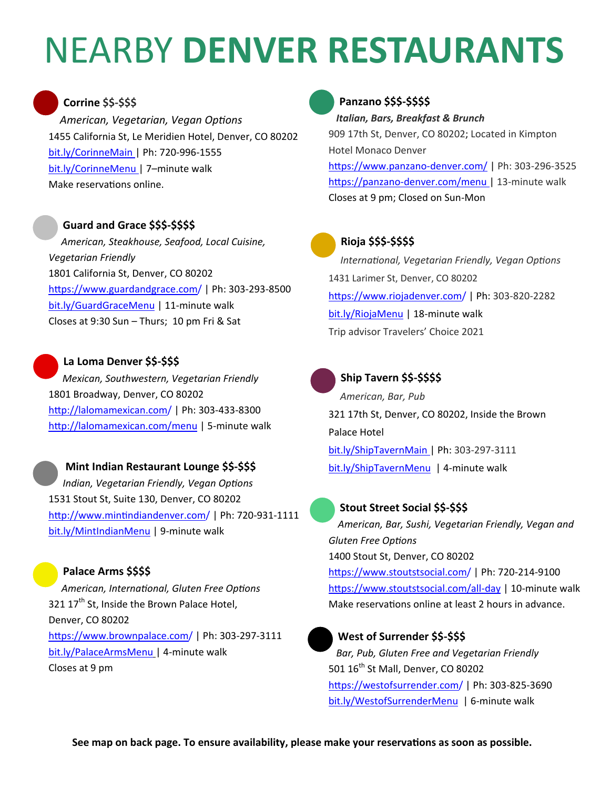# NEARBY **DENVER RESTAURANTS**

# **Corrine \$\$‐\$\$\$**

*American, Vegetarian, Vegan OpƟons* 1455 California St, Le Meridien Hotel, Denver, CO 80202 bit.ly/CorinneMain | Ph: 720‐996‐1555 bit.ly/CorinneMenu | 7–minute walk Make reservations online.

# **Guard and Grace \$\$\$‐\$\$\$\$**

*American, Steakhouse, Seafood, Local Cuisine, Vegetarian Friendly*  1801 California St, Denver, CO 80202 https://www.guardandgrace.com/ | Ph: 303-293-8500 bit.ly/GuardGraceMenu | 11‐minute walk Closes at 9:30 Sun – Thurs; 10 pm Fri & Sat

## **La Loma Denver \$\$‐\$\$\$**

*Mexican, Southwestern, Vegetarian Friendly*  1801 Broadway, Denver, CO 80202 http://lalomamexican.com/ | Ph: 303-433-8300 http://lalomamexican.com/menu | 5-minute walk

#### **Mint Indian Restaurant Lounge \$\$‐\$\$\$**

*Indian, Vegetarian Friendly, Vegan Options* 1531 Stout St, Suite 130, Denver, CO 80202 http://www.mintindiandenver.com/ | Ph: 720-931-1111 bit.ly/MintIndianMenu | 9‐minute walk

# **Palace Arms \$\$\$\$**

*American, InternaƟonal, Gluten Free OpƟons* 321 17<sup>th</sup> St, Inside the Brown Palace Hotel, Denver, CO 80202 https://www.brownpalace.com/ | Ph: 303-297-3111 bit.ly/PalaceArmsMenu | 4‐minute walk Closes at 9 pm

# **Panzano \$\$\$‐\$\$\$\$**

*Italian, Bars, Breakfast & Brunch*

909 17th St, Denver, CO 80202; Located in Kimpton Hotel Monaco Denver https://www.panzano-denver.com/ | Ph: 303-296-3525 https://panzano-denver.com/menu | 13-minute walk Closes at 9 pm; Closed on Sun‐Mon



#### **Rioja \$\$\$‐\$\$\$\$**

*InternaƟonal, Vegetarian Friendly, Vegan OpƟons* 1431 Larimer St, Denver, CO 80202 https://www.riojadenver.com/ | Ph: 303-820-2282 bit.ly/RiojaMenu | 18‐minute walk Trip advisor Travelers' Choice 2021



### **Ship Tavern \$\$‐\$\$\$\$**

*American, Bar, Pub* 321 17th St, Denver, CO 80202, Inside the Brown Palace Hotel bit.ly/ShipTavernMain | Ph: 303‐297‐3111 bit.ly/ShipTavernMenu | 4‐minute walk

## **Stout Street Social \$\$‐\$\$\$**

*American, Bar, Sushi, Vegetarian Friendly, Vegan and Gluten Free OpƟons*  1400 Stout St, Denver, CO 80202 https://www.stoutstsocial.com/ | Ph: 720-214-9100

https://www.stoutstsocial.com/all-day | 10-minute walk Make reservations online at least 2 hours in advance.



## **West of Surrender \$\$‐\$\$\$**

*Bar, Pub, Gluten Free and Vegetarian Friendly*  501 16<sup>th</sup> St Mall, Denver, CO 80202 https://westofsurrender.com/ | Ph: 303-825-3690 bit.ly/WestofSurrenderMenu | 6‐minute walk